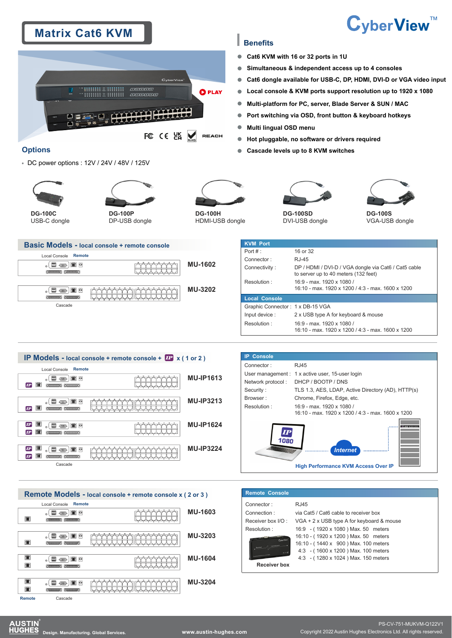# **Matrix Cat6 KVM**



## **Benefits**

- $\bullet$ **Cat6 KVM with 16 or 32 ports in 1U**
- $\bullet$ **Simultaneous & independent access up to 4 consoles**
- **Cat6 dongle available for USB-C, DP, HDMI, DVI-D or VGA video input**  $\bullet$
- **Local console & KVM ports support resolution up to 1920 x 1080**  Ċ
- **Multi-platform for PC, server, Blade Server & SUN / MAC** Ċ
- ò **Port switching via OSD, front button & keyboard hotkeys**
- $\bullet$ **Multi lingual OSD menu**
- $\bullet$ **Hot pluggable, no software or drivers required**
- **Cascade levels up to 8 KVM switches** Ċ

# **Options**

DC power options : 12V / 24V / 48V / 125V





**DG-100C G** USB-C dongle

**DG-100P** DP-USB dongle



**DG-100H** HDMI-USB dongle



DVI-USB dongle



CyberView™

**DG-100S**  VGA-USB dongle

### **Basic Models - local console + remote console**



|                | <b>KVM Port</b>                  |                                                                                              |  |
|----------------|----------------------------------|----------------------------------------------------------------------------------------------|--|
|                | Port $#$ :                       | 16 or 32                                                                                     |  |
|                | Connector:                       | RJ-45                                                                                        |  |
|                | Connectivity:                    | DP / HDMI / DVI-D / VGA dongle via Cat6 / Cat5 cable<br>to server up to 40 meters (132 feet) |  |
|                | Resolution:                      | 16:9 - max. 1920 x 1080 /<br>16:10 - max. 1920 x 1200 / 4:3 - max. 1600 x 1200               |  |
|                | <b>Local Console</b>             |                                                                                              |  |
|                | Graphic Connector: 1 x DB-15 VGA |                                                                                              |  |
| Input device : |                                  | 2 x USB type A for keyboard & mouse                                                          |  |
|                | Resolution:                      | 16:9 - max. 1920 x 1080 /<br>16:10 - max. 1920 x 1200 / 4:3 - max. 1600 x 1200               |  |

#### **IP Models - local console + remote console +**  $\overline{IP}$  **x (1 or 2)** Local Console Remote  $_{\circ}$  (  $\Box$   $\circledast$  )  $\Box$  0 **MU-IP1613**  $P$   $R$   $R$   $R$ **MU-IP3213**  $\circ$  (  $\equiv$   $\equiv$   $\equiv$   $\equiv$   $\circ$  $\bf{r}$  if  $\bf{r}$ **IP 6 ( - - 1 0 MU-IP1624**  $\mathbf{P}$   $\mathbf{m}$   $\mathbf{r}$  $IP$   $\Box$  $_{\circ}$  (  $\Box$   $\textcircled{\tiny{m}}$  )  $\Box$   $\circ$ **MU-IP3224**  $P$  if  $\frac{1}{2}$ Cascade



| <b>Console</b><br>IP                                            |                    |  |  |  |
|-----------------------------------------------------------------|--------------------|--|--|--|
| RJ45<br>Connector:                                              |                    |  |  |  |
| User management : 1 x active user, 15-user login                |                    |  |  |  |
| Network protocol:                                               | DHCP / BOOTP / DNS |  |  |  |
| TLS 1.3, AES, LDAP, Active Directory (AD), HTTP(s)<br>Security: |                    |  |  |  |
| Chrome, Firefox, Edge, etc.<br>Browser:                         |                    |  |  |  |
| 16:9 - max. 1920 x 1080 /<br>Resolution:                        |                    |  |  |  |
| 16:10 - max. 1920 x 1200 / 4:3 - max. 1600 x 1200               |                    |  |  |  |
| 1080<br><b>Internet</b>                                         |                    |  |  |  |
| <b>High Performance KVM Access Over IP</b>                      |                    |  |  |  |

| <b>Remote Console</b> |                                           |
|-----------------------|-------------------------------------------|
| Connector:            | RJ45                                      |
| Connection:           | via Cat5 / Cat6 cable to receiver box     |
| Receiver box I/O:     | VGA + 2 x USB type A for keyboard & mouse |
| Resolution:           | 16:9 - (1920 x 1080) Max. 50 meters       |
| Cyber View            | 16:10 - (1920 x 1200) Max. 50 meters      |
|                       | 16:10 - (1440 x 900) Max. 100 meters      |
|                       | 4:3 - (1600 x 1200) Max. 100 meters       |
|                       | 4:3 - (1280 x 1024) Max. 150 meters       |
| <b>Receiver box</b>   |                                           |



PS-CV-751-MUKVM-Q122V1 **Design. Manufacturing. Global Services. www.austin-hughes.com** Copyright 2022 Austin Hughes Electronics Ltd. All rights reserved.